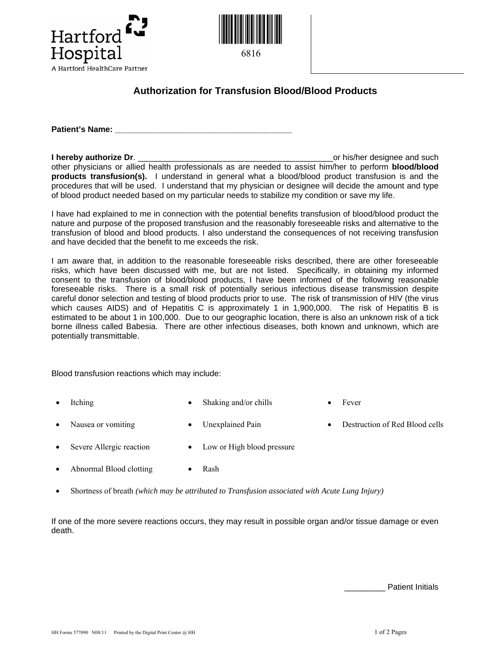



## **Authorization for Transfusion Blood/Blood Products**

**Patient's Name:** 

**I hereby authorize Dr. I** hereby authorize Dr. other physicians or allied health professionals as are needed to assist him/her to perform **blood/blood products transfusion(s).** I understand in general what a blood/blood product transfusion is and the procedures that will be used. I understand that my physician or designee will decide the amount and type of blood product needed based on my particular needs to stabilize my condition or save my life.

I have had explained to me in connection with the potential benefits transfusion of blood/blood product the nature and purpose of the proposed transfusion and the reasonably foreseeable risks and alternative to the transfusion of blood and blood products. I also understand the consequences of not receiving transfusion and have decided that the benefit to me exceeds the risk.

I am aware that, in addition to the reasonable foreseeable risks described, there are other foreseeable risks, which have been discussed with me, but are not listed. Specifically, in obtaining my informed consent to the transfusion of blood/blood products, I have been informed of the following reasonable foreseeable risks. There is a small risk of potentially serious infectious disease transmission despite careful donor selection and testing of blood products prior to use. The risk of transmission of HIV (the virus which causes AIDS) and of Hepatitis C is approximately 1 in 1,900,000. The risk of Hepatitis B is estimated to be about 1 in 100,000. Due to our geographic location, there is also an unknown risk of a tick borne illness called Babesia. There are other infectious diseases, both known and unknown, which are potentially transmittable.

Blood transfusion reactions which may include:

- Itching Shaking and/or chills Fever
- 
- 
- Nausea or vomiting Unexplained Pain Destruction of Red Blood cells
- Severe Allergic reaction Low or High blood pressure
	- Abnormal Blood clotting Rash
- Shortness of breath *(which may be attributed to Transfusion associated with Acute Lung Injury)*

If one of the more severe reactions occurs, they may result in possible organ and/or tissue damage or even death.

Patient Initials